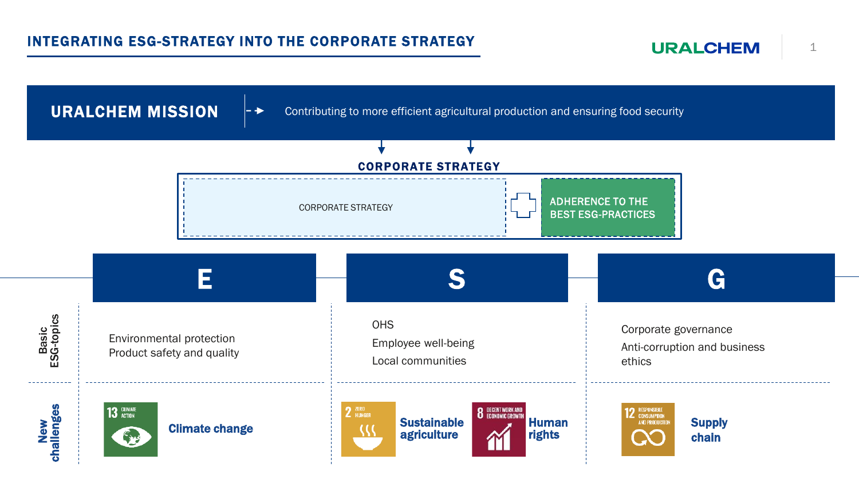**URALCHEM** 

URALCHEM MISSION

Contributing to more efficient agricultural production and ensuring food security